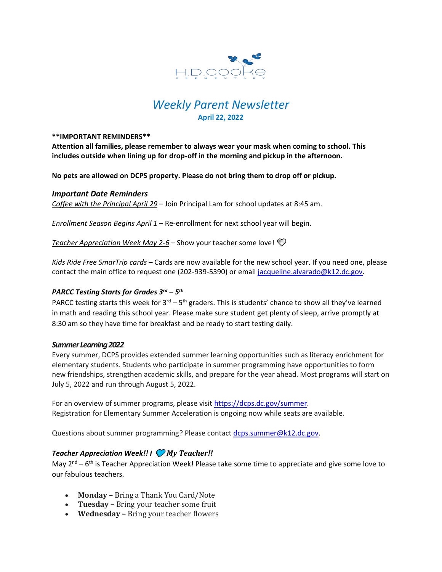

# *Weekly Parent Newsletter* **April 22, 2022**

#### **\*\*IMPORTANT REMINDERS\*\***

**Attention all families, please remember to always wear your mask when coming to school. This includes outside when lining up for drop-off in the morning and pickup in the afternoon.** 

**No pets are allowed on DCPS property. Please do not bring them to drop off or pickup.** 

#### *Important Date Reminders*

*Coffee with the Principal April 29* – Join Principal Lam for school updates at 8:45 am.

*Enrollment Season Begins April 1* – Re-enrollment for next school year will begin.

*Teacher Appreciation Week May 2-6* – Show your teacher some love!

*Kids Ride Free SmarTrip cards* – Cards are now available for the new school year. If you need one, please contact the main office to request one (202-939-5390) or email [jacqueline.alvarado@k12.dc.gov.](mailto:jacqueline.alvarado@k12.dc.gov)

# *PARCC Testing Starts for Grades 3rd – 5 th*

PARCC testing starts this week for 3<sup>rd</sup> – 5<sup>th</sup> graders. This is students' chance to show all they've learned in math and reading this school year. Please make sure student get plenty of sleep, arrive promptly at 8:30 am so they have time for breakfast and be ready to start testing daily.

#### *Summer Learning 2022*

Every summer, DCPS provides extended summer learning opportunities such as literacy enrichment for elementary students. Students who participate in summer programming have opportunities to form new friendships, strengthen academic skills, and prepare for the year ahead. Most programs will start on July 5, 2022 and run through August 5, 2022.

For an overview of summer programs, please visit [https://dcps.dc.gov/summer.](https://dcps.dc.gov/summer) Registration for Elementary Summer Acceleration is ongoing now while seats are available.

Questions about summer programming? Please contact [dcps.summer@k12.dc.gov.](mailto:dcps.summer@k12.dc.gov)

## *Teacher Appreciation Week!! I My Teacher!!*

May  $2^{nd}$  – 6<sup>th</sup> is Teacher Appreciation Week! Please take some time to appreciate and give some love to our fabulous teachers.

- **Monday –** Bring a Thank You Card/Note
- **Tuesday –** Bring your teacher some fruit
- **Wednesday –** Bring your teacher flowers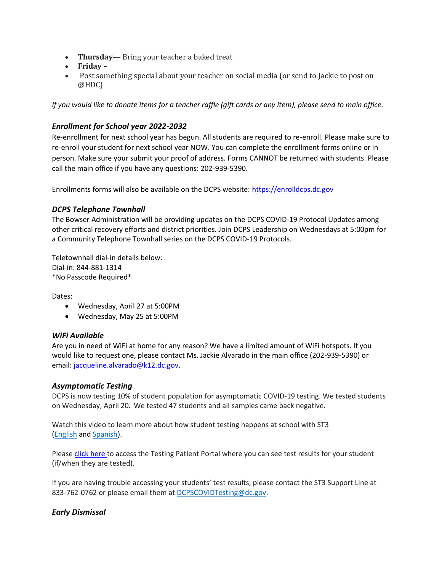- **Thursday—** Bring your teacher a baked treat
- **Friday –**
- Post something special about your teacher on social media (or send to Jackie to post on @HDC)

*If you would like to donate items for a teacher raffle (gift cards or any item), please send to main office.* 

# *Enrollment for School year 2022-2032*

Re-enrollment for next school year has begun. All students are required to re-enroll. Please make sure to re-enroll your student for next school year NOW. You can complete the enrollment forms online or in person. Make sure your submit your proof of address. Forms CANNOT be returned with students. Please call the main office if you have any questions: 202-939-5390.

Enrollments forms will also be available on the DCPS website: [https://enrolldcps.dc.gov](https://enrolldcps.dc.gov/)

## *DCPS Telephone Townhall*

The Bowser Administration will be providing updates on the DCPS COVID-19 Protocol Updates among other critical recovery efforts and district priorities. Join DCPS Leadership on Wednesdays at 5:00pm for a Community Telephone Townhall series on the DCPS COVID-19 Protocols.

Teletownhall dial-in details below: Dial-in: 844-881-1314 \*No Passcode Required\*

Dates:

- Wednesday, April 27 at 5:00PM
- Wednesday, May 25 at 5:00PM

#### *WiFi Available*

Are you in need of WiFi at home for any reason? We have a limited amount of WiFi hotspots. If you would like to request one, please contact Ms. Jackie Alvarado in the main office (202-939-5390) or email: [jacqueline.alvarado@k12.dc.gov.](mailto:jacqueline.alvarado@k12.dc.gov)

## *Asymptomatic Testing*

DCPS is now testing 10% of student population for asymptomatic COVID-19 testing. We tested students on Wednesday, April 20. We tested 47 students and all samples came back negative.

Watch this video to learn more about how student testing happens at school with ST3 [\(English](https://urldefense.proofpoint.com/v2/url?u=https-3A__rise.articulate.com_share_-2Dq6MdIeo2V42boWuOGTu8i4-2DcT9E-5Fpjy-23_lessons_QicMYr-5FNcrCg54C5EtRyuC-2DwHJjQQVR2&d=DwMFAg&c=euGZstcaTDllvimEN8b7jXrwqOf-v5A_CdpgnVfiiMM&r=r7MsakikdNxOh-N_Ssj9mdJUMRjWvhYw18Eqx42UE40&m=-vbhK74dxdF3UGFM3KXX_Mk-PGWZWrPZHiFLh_rcYM0&s=470EC6i3UbApDRfaxDIuMzBPFqhzK2pNSc-krTjYzOw&e=) and [Spanish\)](https://urldefense.proofpoint.com/v2/url?u=https-3A__youtu.be_PRaXjkFlGGQ&d=DwMFAg&c=euGZstcaTDllvimEN8b7jXrwqOf-v5A_CdpgnVfiiMM&r=r7MsakikdNxOh-N_Ssj9mdJUMRjWvhYw18Eqx42UE40&m=-vbhK74dxdF3UGFM3KXX_Mk-PGWZWrPZHiFLh_rcYM0&s=yCXksETv2O2ZulcBl9cazNcOvmB9Inp-drZAlbuFkaw&e=).

Please click [here](https://shieldt3k12portal.pointnclick.com/login_login.aspx) to access the Testing Patient Portal where you can see test results for your student (if/when they are tested).

If you are having trouble accessing your students' test results, please contact the ST3 Support Line at 833-762-0762 or please email them at [DCPSCOVIDTesting@dc.gov.](mailto:DCPSCOVIDTesting@dc.gov)

## *Early Dismissal*